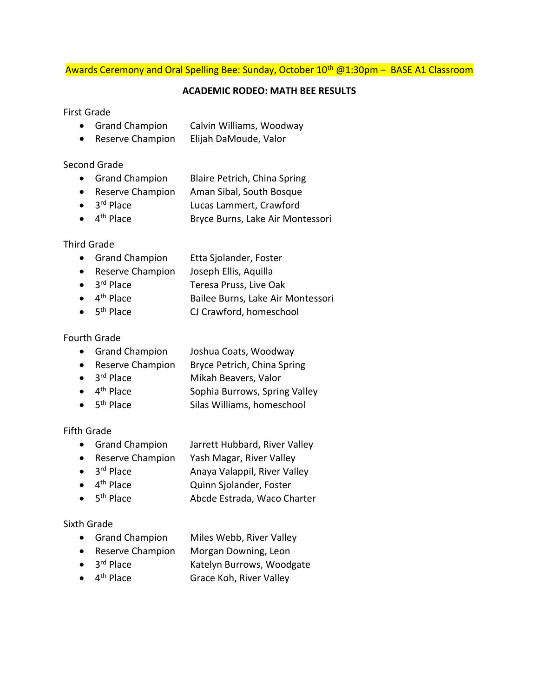## Awards Ceremony and Oral Spelling Bee: Sunday, October 10<sup>th</sup> @1:30pm – BASE A1 Classroom

#### **ACADEMIC RODEO: MATH BEE RESULTS**

#### First Grade

- Grand Champion Calvin Williams, Woodway
- Reserve Champion Elijah DaMoude, Valor

#### Second Grade

- Grand Champion Blaire Petrich, China Spring
- Reserve Champion Aman Sibal, South Bosque
- $\bullet$  3<sup>rd</sup> Place Lucas Lammert, Crawford
- $\bullet$  4<sup>th</sup> Place Bryce Burns, Lake Air Montessori

# Third Grade

- Grand Champion Etta Sjolander, Foster
- Reserve Champion Joseph Ellis, Aquilla
- $\bullet$  3<sup>rd</sup> Place Teresa Pruss, Live Oak
- $\bullet$  4<sup>th</sup> Place Bailee Burns, Lake Air Montessori
- $\bullet$  5<sup>th</sup> Place CJ Crawford, homeschool

#### Fourth Grade

- Grand Champion Joshua Coats, Woodway
- Reserve Champion Bryce Petrich, China Spring
- $\bullet$  3<sup>rd</sup> Place Mikah Beavers, Valor
- $\bullet$  4<sup>th</sup> Place Sophia Burrows, Spring Valley
- $\bullet$  5<sup>th</sup> Place Silas Williams, homeschool

# Fifth Grade

- Grand Champion Jarrett Hubbard, River Valley
- Reserve Champion Yash Magar, River Valley
- $\bullet$  3<sup>rd</sup> Place Anaya Valappil, River Valley
- $\bullet$  4<sup>th</sup> Place Quinn Sjolander, Foster
- $\bullet$  5<sup>th</sup> Place Abcde Estrada, Waco Charter

# Sixth Grade

- Grand Champion Miles Webb, River Valley
- Reserve Champion Morgan Downing, Leon
- $\bullet$  3<sup>rd</sup> Place Katelyn Burrows, Woodgate
- $\bullet$  4<sup>th</sup> Place Grace Koh, River Valley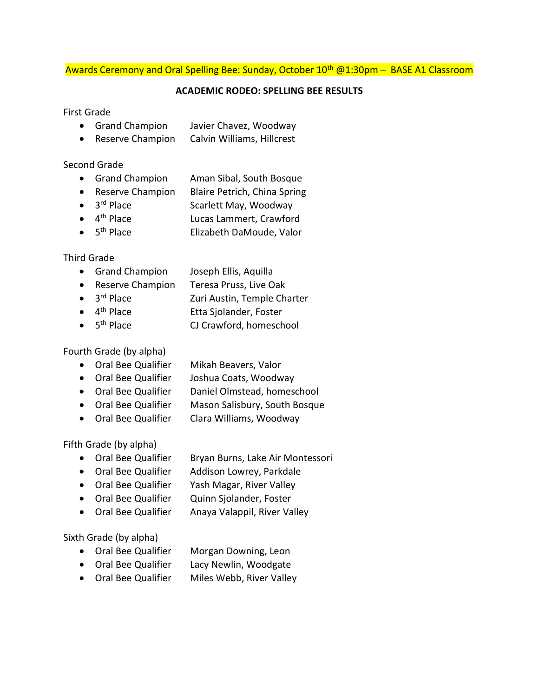## Awards Ceremony and Oral Spelling Bee: Sunday, October 10<sup>th</sup> @1:30pm - BASE A1 Classroom

#### **ACADEMIC RODEO: SPELLING BEE RESULTS**

#### First Grade

- Grand Champion Javier Chavez, Woodway
- Reserve Champion Calvin Williams, Hillcrest

## Second Grade

- Grand Champion Aman Sibal, South Bosque
- Reserve Champion Blaire Petrich, China Spring
- $\bullet$  3<sup>rd</sup> Place Scarlett May, Woodway
- $\bullet$  4<sup>th</sup> Place Lucas Lammert, Crawford
- $\bullet$  5<sup>th</sup> Place Elizabeth DaMoude, Valor

# Third Grade

- Grand Champion Joseph Ellis, Aquilla
- Reserve Champion Teresa Pruss, Live Oak
- 3<sup>rd</sup> Place Zuri Austin, Temple Charter
- $\bullet$  4<sup>th</sup> Place Etta Sjolander, Foster
- $\bullet$  5<sup>th</sup> Place CJ Crawford, homeschool

Fourth Grade (by alpha)

- Oral Bee Qualifier Mikah Beavers, Valor
- Oral Bee Qualifier Joshua Coats, Woodway
- Oral Bee Qualifier Daniel Olmstead, homeschool
- Oral Bee Qualifier Mason Salisbury, South Bosque
- Oral Bee Qualifier Clara Williams, Woodway

Fifth Grade (by alpha)

- Oral Bee Qualifier Bryan Burns, Lake Air Montessori
- Oral Bee Qualifier Addison Lowrey, Parkdale
- Oral Bee Qualifier Yash Magar, River Valley
- Oral Bee Qualifier Quinn Sjolander, Foster
- Oral Bee Qualifier Anaya Valappil, River Valley

Sixth Grade (by alpha)

- Oral Bee Qualifier Morgan Downing, Leon
- Oral Bee Qualifier Lacy Newlin, Woodgate
- Oral Bee Qualifier Miles Webb, River Valley